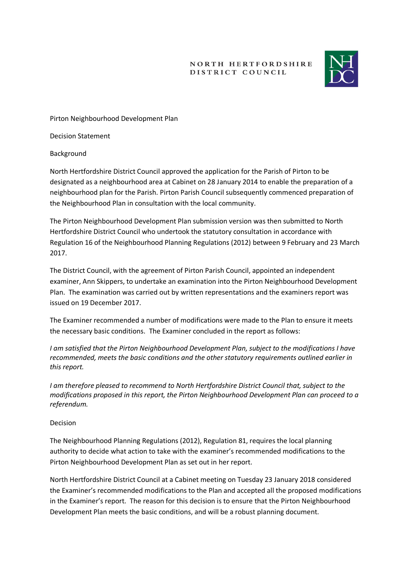**NORTH HERTFORDSHIRE** DISTRICT COUNCIL



Pirton Neighbourhood Development Plan

Decision Statement

Background

North Hertfordshire District Council approved the application for the Parish of Pirton to be designated as a neighbourhood area at Cabinet on 28 January 2014 to enable the preparation of a neighbourhood plan for the Parish. Pirton Parish Council subsequently commenced preparation of the Neighbourhood Plan in consultation with the local community.

The Pirton Neighbourhood Development Plan submission version was then submitted to North Hertfordshire District Council who undertook the statutory consultation in accordance with Regulation 16 of the Neighbourhood Planning Regulations (2012) between 9 February and 23 March 2017.

The District Council, with the agreement of Pirton Parish Council, appointed an independent examiner, Ann Skippers, to undertake an examination into the Pirton Neighbourhood Development Plan. The examination was carried out by written representations and the examiners report was issued on 19 December 2017.

The Examiner recommended a number of modifications were made to the Plan to ensure it meets the necessary basic conditions. The Examiner concluded in the report as follows:

*I am satisfied that the Pirton Neighbourhood Development Plan, subject to the modifications I have recommended, meets the basic conditions and the other statutory requirements outlined earlier in this report.* 

*I am therefore pleased to recommend to North Hertfordshire District Council that, subject to the modifications proposed in this report, the Pirton Neighbourhood Development Plan can proceed to a referendum.* 

## Decision

The Neighbourhood Planning Regulations (2012), Regulation 81, requires the local planning authority to decide what action to take with the examiner's recommended modifications to the Pirton Neighbourhood Development Plan as set out in her report.

North Hertfordshire District Council at a Cabinet meeting on Tuesday 23 January 2018 considered the Examiner's recommended modifications to the Plan and accepted all the proposed modifications in the Examiner's report. The reason for this decision is to ensure that the Pirton Neighbourhood Development Plan meets the basic conditions, and will be a robust planning document.